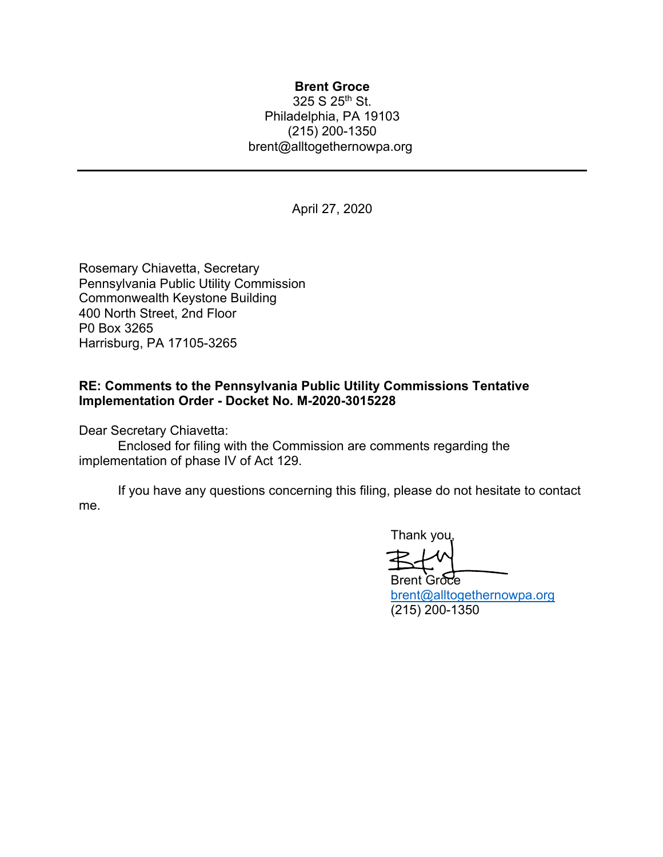## **Brent Groce**

325 S 25th St. Philadelphia, PA 19103 (215) 200-1350 brent@alltogethernowpa.org

April 27, 2020

Rosemary Chiavetta, Secretary Pennsylvania Public Utility Commission Commonwealth Keystone Building 400 North Street, 2nd Floor P0 Box 3265 Harrisburg, PA 17105-3265

## **RE: Comments to the Pennsylvania Public Utility Commissions Tentative Implementation Order - Docket No. M-2020-3015228**

Dear Secretary Chiavetta:

Enclosed for filing with the Commission are comments regarding the implementation of phase IV of Act 129.

If you have any questions concerning this filing, please do not hesitate to contact me.

Thank you,

**Brent Groce** brent@alltogethernowpa.org (215) 200-1350